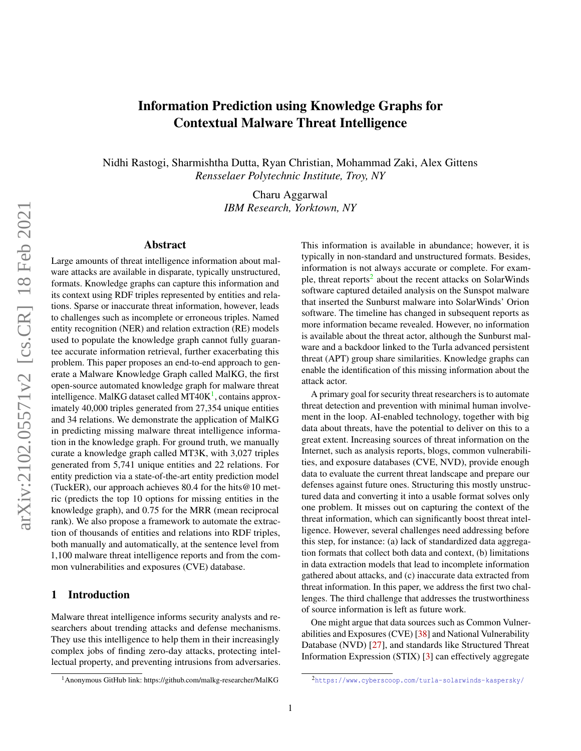# Information Prediction using Knowledge Graphs for Contextual Malware Threat Intelligence

Nidhi Rastogi, Sharmishtha Dutta, Ryan Christian, Mohammad Zaki, Alex Gittens *Rensselaer Polytechnic Institute, Troy, NY*

> Charu Aggarwal *IBM Research, Yorktown, NY*

#### Abstract

Large amounts of threat intelligence information about malware attacks are available in disparate, typically unstructured, formats. Knowledge graphs can capture this information and its context using RDF triples represented by entities and relations. Sparse or inaccurate threat information, however, leads to challenges such as incomplete or erroneous triples. Named entity recognition (NER) and relation extraction (RE) models used to populate the knowledge graph cannot fully guarantee accurate information retrieval, further exacerbating this problem. This paper proposes an end-to-end approach to generate a Malware Knowledge Graph called MalKG, the first open-source automated knowledge graph for malware threat intelligence. MalKG dataset called MT40 $K^1$  $K^1$ , contains approximately 40,000 triples generated from 27,354 unique entities and 34 relations. We demonstrate the application of MalKG in predicting missing malware threat intelligence information in the knowledge graph. For ground truth, we manually curate a knowledge graph called MT3K, with 3,027 triples generated from 5,741 unique entities and 22 relations. For entity prediction via a state-of-the-art entity prediction model (TuckER), our approach achieves 80.4 for the hits  $@10$  metric (predicts the top 10 options for missing entities in the knowledge graph), and 0.75 for the MRR (mean reciprocal rank). We also propose a framework to automate the extraction of thousands of entities and relations into RDF triples, both manually and automatically, at the sentence level from 1,100 malware threat intelligence reports and from the common vulnerabilities and exposures (CVE) database.

### 1 Introduction

Malware threat intelligence informs security analysts and researchers about trending attacks and defense mechanisms. They use this intelligence to help them in their increasingly complex jobs of finding zero-day attacks, protecting intellectual property, and preventing intrusions from adversaries.

This information is available in abundance; however, it is typically in non-standard and unstructured formats. Besides, information is not always accurate or complete. For exam-ple, threat reports<sup>[2](#page-0-1)</sup> about the recent attacks on SolarWinds software captured detailed analysis on the Sunspot malware that inserted the Sunburst malware into SolarWinds' Orion software. The timeline has changed in subsequent reports as more information became revealed. However, no information is available about the threat actor, although the Sunburst malware and a backdoor linked to the Turla advanced persistent threat (APT) group share similarities. Knowledge graphs can enable the identification of this missing information about the attack actor.

A primary goal for security threat researchers is to automate threat detection and prevention with minimal human involvement in the loop. AI-enabled technology, together with big data about threats, have the potential to deliver on this to a great extent. Increasing sources of threat information on the Internet, such as analysis reports, blogs, common vulnerabilities, and exposure databases (CVE, NVD), provide enough data to evaluate the current threat landscape and prepare our defenses against future ones. Structuring this mostly unstructured data and converting it into a usable format solves only one problem. It misses out on capturing the context of the threat information, which can significantly boost threat intelligence. However, several challenges need addressing before this step, for instance: (a) lack of standardized data aggregation formats that collect both data and context, (b) limitations in data extraction models that lead to incomplete information gathered about attacks, and (c) inaccurate data extracted from threat information. In this paper, we address the first two challenges. The third challenge that addresses the trustworthiness of source information is left as future work.

One might argue that data sources such as Common Vulnerabilities and Exposures (CVE) [\[38\]](#page-13-0) and National Vulnerability Database (NVD) [\[27\]](#page-12-0), and standards like Structured Threat Information Expression (STIX) [\[3\]](#page-11-0) can effectively aggregate

<span id="page-0-0"></span><sup>1</sup>Anonymous GitHub link: https://github.com/malkg-researcher/MalKG

<span id="page-0-1"></span><sup>2</sup><https://www.cyberscoop.com/turla-solarwinds-kaspersky/>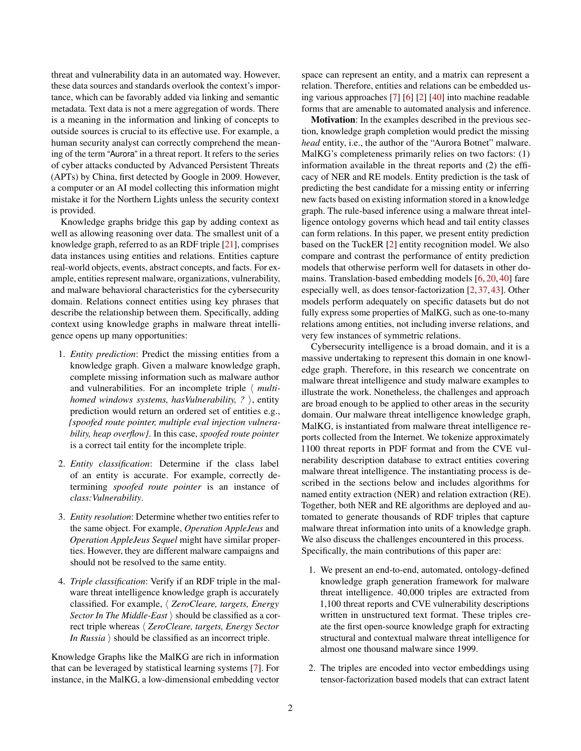threat and vulnerability data in an automated way. However, these data sources and standards overlook the context's importance, which can be favorably added via linking and semantic metadata. Text data is not a mere aggregation of words. There is a meaning in the information and linking of concepts to outside sources is crucial to its effective use. For example, a human security analyst can correctly comprehend the meaning of the term "Aurora" in a threat report. It refers to the series of cyber attacks conducted by Advanced Persistent Threats (APTs) by China, first detected by Google in 2009. However, a computer or an AI model collecting this information might mistake it for the Northern Lights unless the security context is provided.

Knowledge graphs bridge this gap by adding context as well as allowing reasoning over data. The smallest unit of a knowledge graph, referred to as an RDF triple [\[21\]](#page-12-1), comprises data instances using entities and relations. Entities capture real-world objects, events, abstract concepts, and facts. For example, entities represent malware, organizations, vulnerability, and malware behavioral characteristics for the cybersecurity domain. Relations connect entities using key phrases that describe the relationship between them. Specifically, adding context using knowledge graphs in malware threat intelligence opens up many opportunities:

- 1. *Entity prediction*: Predict the missing entities from a knowledge graph. Given a malware knowledge graph, complete missing information such as malware author and vulnerabilities. For an incomplete triple  $\langle$  *multihomed windows systems, has Vulnerability, ?* ), entity prediction would return an ordered set of entities e.g., *{spoofed route pointer, multiple eval injection vulnerability, heap overflow}*. In this case, *spoofed route pointer* is a correct tail entity for the incomplete triple.
- 2. *Entity classification*: Determine if the class label of an entity is accurate. For example, correctly determining *spoofed route pointer* is an instance of *class:Vulnerability*.
- 3. *Entity resolution*: Determine whether two entities refer to the same object. For example, *Operation AppleJeus* and *Operation AppleJeus Sequel* might have similar properties. However, they are different malware campaigns and should not be resolved to the same entity.
- 4. *Triple classification*: Verify if an RDF triple in the malware threat intelligence knowledge graph is accurately classified. For example,  $\langle$  *ZeroCleare, targets, Energy Sector In The Middle-East*  $\rangle$  should be classified as a correct triple whereas  $\langle$  *ZeroCleare, targets, Energy Sector In Russia*  $\rangle$  should be classified as an incorrect triple.

Knowledge Graphs like the MalKG are rich in information that can be leveraged by statistical learning systems [\[7\]](#page-11-1). For instance, in the MalKG, a low-dimensional embedding vector

space can represent an entity, and a matrix can represent a relation. Therefore, entities and relations can be embedded using various approaches [\[7\]](#page-11-1) [\[6\]](#page-11-2) [\[2\]](#page-11-3) [\[40\]](#page-13-1) into machine readable forms that are amenable to automated analysis and inference.

Motivation: In the examples described in the previous section, knowledge graph completion would predict the missing *head* entity, i.e., the author of the "Aurora Botnet" malware. MalKG's completeness primarily relies on two factors: (1) information available in the threat reports and (2) the efficacy of NER and RE models. Entity prediction is the task of predicting the best candidate for a missing entity or inferring new facts based on existing information stored in a knowledge graph. The rule-based inference using a malware threat intelligence ontology governs which head and tail entity classes can form relations. In this paper, we present entity prediction based on the TuckER [\[2\]](#page-11-3) entity recognition model. We also compare and contrast the performance of entity prediction models that otherwise perform well for datasets in other domains. Translation-based embedding models [\[6,](#page-11-2) [20,](#page-12-2) [40\]](#page-13-1) fare especially well, as does tensor-factorization [\[2,](#page-11-3) [37,](#page-13-2) [43\]](#page-13-3). Other models perform adequately on specific datasets but do not fully express some properties of MalKG, such as one-to-many relations among entities, not including inverse relations, and very few instances of symmetric relations.

Cybersecurity intelligence is a broad domain, and it is a massive undertaking to represent this domain in one knowledge graph. Therefore, in this research we concentrate on malware threat intelligence and study malware examples to illustrate the work. Nonetheless, the challenges and approach are broad enough to be applied to other areas in the security domain. Our malware threat intelligence knowledge graph, MalKG, is instantiated from malware threat intelligence reports collected from the Internet. We tokenize approximately 1100 threat reports in PDF format and from the CVE vulnerability description database to extract entities covering malware threat intelligence. The instantiating process is described in the sections below and includes algorithms for named entity extraction (NER) and relation extraction (RE). Together, both NER and RE algorithms are deployed and automated to generate thousands of RDF triples that capture malware threat information into units of a knowledge graph. We also discuss the challenges encountered in this process. Specifically, the main contributions of this paper are:

- 1. We present an end-to-end, automated, ontology-defined knowledge graph generation framework for malware threat intelligence. 40,000 triples are extracted from 1,100 threat reports and CVE vulnerability descriptions written in unstructured text format. These triples create the first open-source knowledge graph for extracting structural and contextual malware threat intelligence for almost one thousand malware since 1999.
- 2. The triples are encoded into vector embeddings using tensor-factorization based models that can extract latent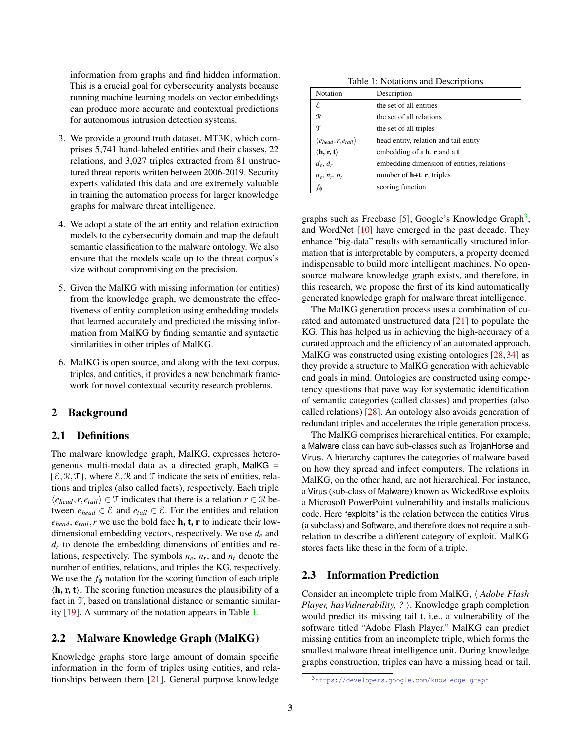information from graphs and find hidden information. This is a crucial goal for cybersecurity analysts because running machine learning models on vector embeddings can produce more accurate and contextual predictions for autonomous intrusion detection systems.

- 3. We provide a ground truth dataset, MT3K, which comprises 5,741 hand-labeled entities and their classes, 22 relations, and 3,027 triples extracted from 81 unstructured threat reports written between 2006-2019. Security experts validated this data and are extremely valuable in training the automation process for larger knowledge graphs for malware threat intelligence.
- 4. We adopt a state of the art entity and relation extraction models to the cybersecurity domain and map the default semantic classification to the malware ontology. We also ensure that the models scale up to the threat corpus's size without compromising on the precision.
- 5. Given the MalKG with missing information (or entities) from the knowledge graph, we demonstrate the effectiveness of entity completion using embedding models that learned accurately and predicted the missing information from MalKG by finding semantic and syntactic similarities in other triples of MalKG.
- 6. MalKG is open source, and along with the text corpus, triples, and entities, it provides a new benchmark framework for novel contextual security research problems.

# 2 Background

# 2.1 Definitions

The malware knowledge graph, MalKG, expresses heterogeneous multi-modal data as a directed graph, MalKG =  $\{\mathcal{E}, \mathcal{R}, \mathcal{T}\}\$ , where  $\mathcal{E}, \mathcal{R}$  and  $\mathcal{T}$  indicate the sets of entities, relations and triples (also called facts), respectively. Each triple  $\langle e_{head}, r, e_{tail} \rangle$  ∈ T indicates that there is a relation *r* ∈ R between  $e_{head} \in \mathcal{E}$  and  $e_{tail} \in \mathcal{E}$ . For the entities and relation  $e_{head}$ ,  $e_{tail}$ , *r* we use the bold face **h**, **t**, **r** to indicate their lowdimensional embedding vectors, respectively. We use *d<sup>e</sup>* and *dr* to denote the embedding dimensions of entities and relations, respectively. The symbols  $n_e$ ,  $n_r$ , and  $n_t$  denote the number of entities, relations, and triples the KG, respectively. We use the  $f_{\phi}$  notation for the scoring function of each triple  $\langle \mathbf{h}, \mathbf{r}, \mathbf{t} \rangle$ . The scoring function measures the plausibility of a fact in T, based on translational distance or semantic similarity [\[19\]](#page-12-3). A summary of the notation appears in Table [1.](#page-2-0)

# 2.2 Malware Knowledge Graph (MalKG)

Knowledge graphs store large amount of domain specific information in the form of triples using entities, and relationships between them [\[21\]](#page-12-1). General purpose knowledge

<span id="page-2-0"></span>Table 1: Notations and Descriptions

| Notation                                             | Description                                |
|------------------------------------------------------|--------------------------------------------|
| ε.                                                   | the set of all entities                    |
| R                                                    | the set of all relations                   |
| T                                                    | the set of all triples                     |
| $\langle e_{head}, r, e_{tail} \rangle$              | head entity, relation and tail entity      |
| $\langle \mathbf{h}, \mathbf{r}, \mathbf{t} \rangle$ | embedding of a $h$ , $r$ and a $t$         |
| $d_e, d_r$                                           | embedding dimension of entities, relations |
| $n_e$ , $n_r$ , $n_t$                                | number of $h+t$ , r, triples               |
| Ťф                                                   | scoring function                           |

graphs such as Freebase [\[5\]](#page-11-4), Google's Knowledge Graph<sup>[3](#page-2-1)</sup>, and WordNet [\[10\]](#page-11-5) have emerged in the past decade. They enhance "big-data" results with semantically structured information that is interpretable by computers, a property deemed indispensable to build more intelligent machines. No opensource malware knowledge graph exists, and therefore, in this research, we propose the first of its kind automatically generated knowledge graph for malware threat intelligence.

The MalKG generation process uses a combination of curated and automated unstructured data [\[21\]](#page-12-1) to populate the KG. This has helped us in achieving the high-accuracy of a curated approach and the efficiency of an automated approach. MalKG was constructed using existing ontologies [\[28,](#page-12-4) [34\]](#page-12-5) as they provide a structure to MalKG generation with achievable end goals in mind. Ontologies are constructed using competency questions that pave way for systematic identification of semantic categories (called classes) and properties (also called relations) [\[28\]](#page-12-4). An ontology also avoids generation of redundant triples and accelerates the triple generation process.

The MalKG comprises hierarchical entities. For example, a Malware class can have sub-classes such as TrojanHorse and Virus. A hierarchy captures the categories of malware based on how they spread and infect computers. The relations in MalKG, on the other hand, are not hierarchical. For instance, a Virus (sub-class of Malware) known as WickedRose exploits a Microsoft PowerPoint vulnerability and installs malicious code. Here "exploits" is the relation between the entities Virus (a subclass) and Software, and therefore does not require a subrelation to describe a different category of exploit. MalKG stores facts like these in the form of a triple.

### 2.3 Information Prediction

Consider an incomplete triple from MalKG,  $\langle$  *Adobe Flash Player, hasVulnerability, ?* ). Knowledge graph completion would predict its missing tail t, i.e., a vulnerability of the software titled "Adobe Flash Player." MalKG can predict missing entities from an incomplete triple, which forms the smallest malware threat intelligence unit. During knowledge graphs construction, triples can have a missing head or tail.

<span id="page-2-1"></span><sup>3</sup><https://developers.google.com/knowledge-graph>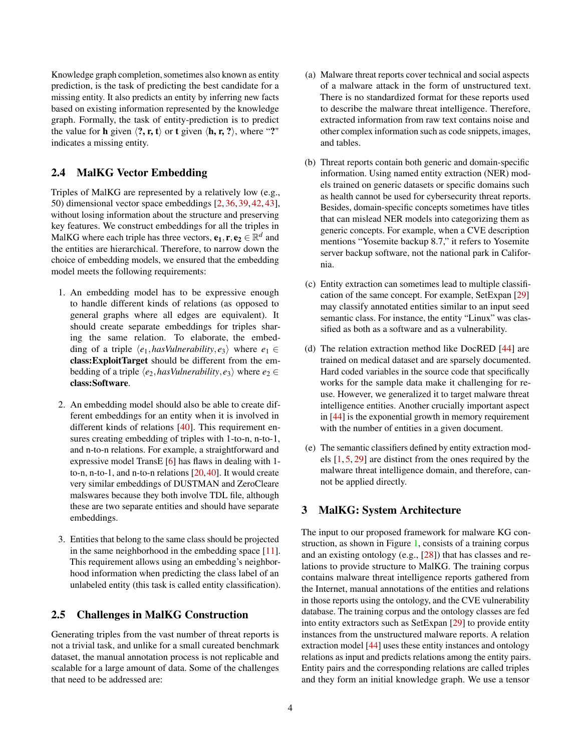Knowledge graph completion, sometimes also known as entity prediction, is the task of predicting the best candidate for a missing entity. It also predicts an entity by inferring new facts based on existing information represented by the knowledge graph. Formally, the task of entity-prediction is to predict the value for **h** given  $\langle$ **?**, **r**, **t** $\rangle$  or **t** given  $\langle$ **h**, **r**, **?** $\rangle$ , where "?" indicates a missing entity.

# <span id="page-3-1"></span>2.4 MalKG Vector Embedding

Triples of MalKG are represented by a relatively low (e.g., 50) dimensional vector space embeddings [\[2,](#page-11-3) [36,](#page-12-6) [39,](#page-13-4) [42,](#page-13-5) [43\]](#page-13-3), without losing information about the structure and preserving key features. We construct embeddings for all the triples in MalKG where each triple has three vectors,  $\mathbf{e_1}, \mathbf{r}, \mathbf{e_2} \in \mathbb{R}^d$  and the entities are hierarchical. Therefore, to narrow down the choice of embedding models, we ensured that the embedding model meets the following requirements:

- 1. An embedding model has to be expressive enough to handle different kinds of relations (as opposed to general graphs where all edges are equivalent). It should create separate embeddings for triples sharing the same relation. To elaborate, the embedding of a triple  $\langle e_1, \text{hasVulnerability}, e_3 \rangle$  where  $e_1 \in$ class:ExploitTarget should be different from the embedding of a triple  $\langle e_2, \text{hasV} \rangle$  *where*  $e_2 \in$ class:Software.
- 2. An embedding model should also be able to create different embeddings for an entity when it is involved in different kinds of relations [\[40\]](#page-13-1). This requirement ensures creating embedding of triples with 1-to-n, n-to-1, and n-to-n relations. For example, a straightforward and expressive model TransE [\[6\]](#page-11-2) has flaws in dealing with 1 to-n, n-to-1, and n-to-n relations [\[20,](#page-12-2)[40\]](#page-13-1). It would create very similar embeddings of DUSTMAN and ZeroCleare malswares because they both involve TDL file, although these are two separate entities and should have separate embeddings.
- 3. Entities that belong to the same class should be projected in the same neighborhood in the embedding space [\[11\]](#page-11-6). This requirement allows using an embedding's neighborhood information when predicting the class label of an unlabeled entity (this task is called entity classification).

# <span id="page-3-0"></span>2.5 Challenges in MalKG Construction

Generating triples from the vast number of threat reports is not a trivial task, and unlike for a small cureated benchmark dataset, the manual annotation process is not replicable and scalable for a large amount of data. Some of the challenges that need to be addressed are:

- (a) Malware threat reports cover technical and social aspects of a malware attack in the form of unstructured text. There is no standardized format for these reports used to describe the malware threat intelligence. Therefore, extracted information from raw text contains noise and other complex information such as code snippets, images, and tables.
- (b) Threat reports contain both generic and domain-specific information. Using named entity extraction (NER) models trained on generic datasets or specific domains such as health cannot be used for cybersecurity threat reports. Besides, domain-specific concepts sometimes have titles that can mislead NER models into categorizing them as generic concepts. For example, when a CVE description mentions "Yosemite backup 8.7," it refers to Yosemite server backup software, not the national park in California.
- (c) Entity extraction can sometimes lead to multiple classification of the same concept. For example, SetExpan [\[29\]](#page-12-7) may classify annotated entities similar to an input seed semantic class. For instance, the entity "Linux" was classified as both as a software and as a vulnerability.
- (d) The relation extraction method like DocRED [\[44\]](#page-13-6) are trained on medical dataset and are sparsely documented. Hard coded variables in the source code that specifically works for the sample data make it challenging for reuse. However, we generalized it to target malware threat intelligence entities. Another crucially important aspect in [\[44\]](#page-13-6) is the exponential growth in memory requirement with the number of entities in a given document.
- (e) The semantic classifiers defined by entity extraction models [\[1,](#page-11-7) [5,](#page-11-4) [29\]](#page-12-7) are distinct from the ones required by the malware threat intelligence domain, and therefore, cannot be applied directly.

# 3 MalKG: System Architecture

The input to our proposed framework for malware KG construction, as shown in Figure [1,](#page-5-0) consists of a training corpus and an existing ontology (e.g., [\[28\]](#page-12-4)) that has classes and relations to provide structure to MalKG. The training corpus contains malware threat intelligence reports gathered from the Internet, manual annotations of the entities and relations in those reports using the ontology, and the CVE vulnerability database. The training corpus and the ontology classes are fed into entity extractors such as SetExpan [\[29\]](#page-12-7) to provide entity instances from the unstructured malware reports. A relation extraction model [\[44\]](#page-13-6) uses these entity instances and ontology relations as input and predicts relations among the entity pairs. Entity pairs and the corresponding relations are called triples and they form an initial knowledge graph. We use a tensor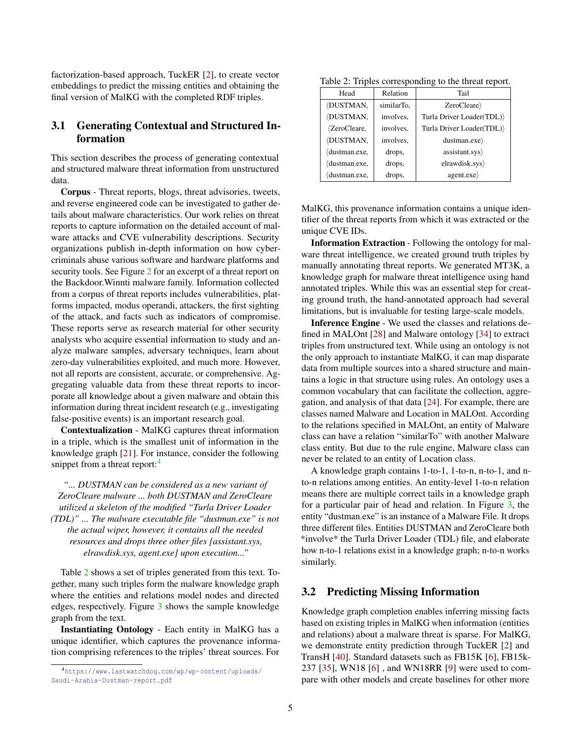factorization-based approach, TuckER [\[2\]](#page-11-3), to create vector embeddings to predict the missing entities and obtaining the final version of MalKG with the completed RDF triples.

# 3.1 Generating Contextual and Structured Information

This section describes the process of generating contextual and structured malware threat information from unstructured data.

Corpus - Threat reports, blogs, threat advisories, tweets, and reverse engineered code can be investigated to gather details about malware characteristics. Our work relies on threat reports to capture information on the detailed account of malware attacks and CVE vulnerability descriptions. Security organizations publish in-depth information on how cybercriminals abuse various software and hardware platforms and security tools. See Figure [2](#page-5-1) for an excerpt of a threat report on the Backdoor.Winnti malware family. Information collected from a corpus of threat reports includes vulnerabilities, platforms impacted, modus operandi, attackers, the first sighting of the attack, and facts such as indicators of compromise. These reports serve as research material for other security analysts who acquire essential information to study and analyze malware samples, adversary techniques, learn about zero-day vulnerabilities exploited, and much more. However, not all reports are consistent, accurate, or comprehensive. Aggregating valuable data from these threat reports to incorporate all knowledge about a given malware and obtain this information during threat incident research (e.g., investigating false-positive events) is an important research goal.

Contextualization - MalKG captures threat information in a triple, which is the smallest unit of information in the knowledge graph [\[21\]](#page-12-1). For instance, consider the following snippet from a threat report:<sup>[4](#page-4-0)</sup>

*"... DUSTMAN can be considered as a new variant of ZeroCleare malware ... both DUSTMAN and ZeroCleare utilized a skeleton of the modified "Turla Driver Loader (TDL)" ... The malware executable file "dustman.exe" is not the actual wiper, however, it contains all the needed resources and drops three other files [assistant.sys, elrawdisk.sys, agent.exe] upon execution..."*

Table [2](#page-4-1) shows a set of triples generated from this text. Together, many such triples form the malware knowledge graph where the entities and relations model nodes and directed edges, respectively. Figure [3](#page-5-2) shows the sample knowledge graph from the text.

Instantiating Ontology - Each entity in MalKG has a unique identifier, which captures the provenance information comprising references to the triples' threat sources. For

<span id="page-4-1"></span>Table 2: Triples corresponding to the threat report.

| Head                  | Relation   | Tail                     |  |  |
|-----------------------|------------|--------------------------|--|--|
| /DUSTMAN,             | similarTo, | ZeroClear                |  |  |
| /DUSTMAN,             | involves,  | Turla Driver Loader(TDL) |  |  |
| $\langle$ ZeroCleare, | involves,  | Turla Driver Loader(TDL) |  |  |
| /DUSTMAN,             | involves,  | dustman.exe              |  |  |
| dustman.exe,          | drops,     | assistant.sys            |  |  |
| dustman.exe.          | drops,     | elrawdisk.sys            |  |  |
| dustman.exe,          | drops,     | agent.exe                |  |  |

MalKG, this provenance information contains a unique identifier of the threat reports from which it was extracted or the unique CVE IDs.

Information Extraction - Following the ontology for malware threat intelligence, we created ground truth triples by manually annotating threat reports. We generated MT3K, a knowledge graph for malware threat intelligence using hand annotated triples. While this was an essential step for creating ground truth, the hand-annotated approach had several limitations, but is invaluable for testing large-scale models.

Inference Engine - We used the classes and relations defined in MALOnt [\[28\]](#page-12-4) and Malware ontology [\[34\]](#page-12-5) to extract triples from unstructured text. While using an ontology is not the only approach to instantiate MalKG, it can map disparate data from multiple sources into a shared structure and maintains a logic in that structure using rules. An ontology uses a common vocabulary that can facilitate the collection, aggregation, and analysis of that data [\[24\]](#page-12-8). For example, there are classes named Malware and Location in MALOnt. According to the relations specified in MALOnt, an entity of Malware class can have a relation "similarTo" with another Malware class entity. But due to the rule engine, Malware class can never be related to an entity of Location class.

A knowledge graph contains 1-to-1, 1-to-n, n-to-1, and nto-n relations among entities. An entity-level 1-to-n relation means there are multiple correct tails in a knowledge graph for a particular pair of head and relation. In Figure [3,](#page-5-2) the entity "dustman.exe" is an instance of a Malware File. It drops three different files. Entities DUSTMAN and ZeroCleare both \*involve\* the Turla Driver Loader (TDL) file, and elaborate how n-to-1 relations exist in a knowledge graph; n-to-n works similarly.

# 3.2 Predicting Missing Information

Knowledge graph completion enables inferring missing facts based on existing triples in MalKG when information (entities and relations) about a malware threat is sparse. For MalKG, we demonstrate entity prediction through TuckER [\[2\]](#page-11-3) and TransH [\[40\]](#page-13-1). Standard datasets such as FB15K [\[6\]](#page-11-2), FB15k-237 [\[35\]](#page-12-9), WN18 [\[6\]](#page-11-2) , and WN18RR [\[9\]](#page-11-8) were used to compare with other models and create baselines for other more

<span id="page-4-0"></span><sup>4</sup>[https://www.lastwatchdog.com/wp/wp-content/uploads/](https://www.lastwatchdog.com/wp/wp-content/uploads/Saudi-Arabia-Dustman-report.pdf) [Saudi-Arabia-Dustman-report.pdf](https://www.lastwatchdog.com/wp/wp-content/uploads/Saudi-Arabia-Dustman-report.pdf)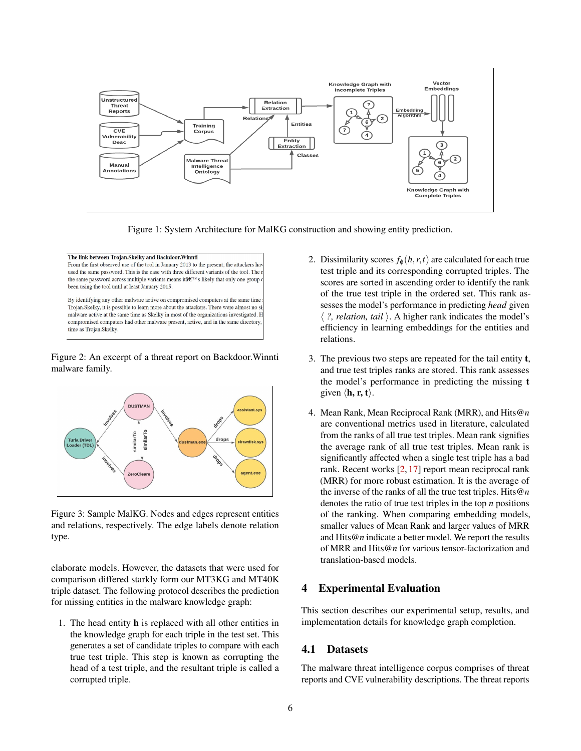

<span id="page-5-0"></span>Figure 1: System Architecture for MalKG construction and showing entity prediction.

The link between Trojan.Skelky and Backdoor.Winnti From the first observed use of the tool in January 2013 to the present, the attackers have used the same password. This is the case with three different variants of the tool. The the same password across multiple variants means it  $\hat{a} \in \mathbb{T}^{M}$  s likely that only one group been using the tool until at least January 2015. By identifying any other malware active on compromised computers at the same time

Trojan.Skelky, it is possible to learn more about the attackers. There were almost no s: malware active at the same time as Skelky in most of the organizations investigated. F compromised computers had other malware present, active, and in the same directory time as Trojan.Skelky.

#### <span id="page-5-1"></span>Figure 2: An excerpt of a threat report on Backdoor.Winnti malware family.



<span id="page-5-2"></span>Figure 3: Sample MalKG. Nodes and edges represent entities and relations, respectively. The edge labels denote relation type.

elaborate models. However, the datasets that were used for comparison differed starkly form our MT3KG and MT40K triple dataset. The following protocol describes the prediction for missing entities in the malware knowledge graph:

1. The head entity h is replaced with all other entities in the knowledge graph for each triple in the test set. This generates a set of candidate triples to compare with each true test triple. This step is known as corrupting the head of a test triple, and the resultant triple is called a corrupted triple.

- 2. Dissimilarity scores  $f_{\phi}(h, r, t)$  are calculated for each true test triple and its corresponding corrupted triples. The scores are sorted in ascending order to identify the rank of the true test triple in the ordered set. This rank assesses the model's performance in predicting *head* given  $\langle$  *?, relation, tail*  $\rangle$ . A higher rank indicates the model's efficiency in learning embeddings for the entities and relations.
- 3. The previous two steps are repeated for the tail entity t, and true test triples ranks are stored. This rank assesses the model's performance in predicting the missing t given  $\langle \mathbf{h}, \mathbf{r}, \mathbf{t} \rangle$ .
- 4. Mean Rank, Mean Reciprocal Rank (MRR), and Hits@*n* are conventional metrics used in literature, calculated from the ranks of all true test triples. Mean rank signifies the average rank of all true test triples. Mean rank is significantly affected when a single test triple has a bad rank. Recent works [\[2,](#page-11-3) [17\]](#page-12-10) report mean reciprocal rank (MRR) for more robust estimation. It is the average of the inverse of the ranks of all the true test triples. Hits@*n* denotes the ratio of true test triples in the top *n* positions of the ranking. When comparing embedding models, smaller values of Mean Rank and larger values of MRR and Hits@*n* indicate a better model. We report the results of MRR and Hits@*n* for various tensor-factorization and translation-based models.

# 4 Experimental Evaluation

This section describes our experimental setup, results, and implementation details for knowledge graph completion.

# 4.1 Datasets

The malware threat intelligence corpus comprises of threat reports and CVE vulnerability descriptions. The threat reports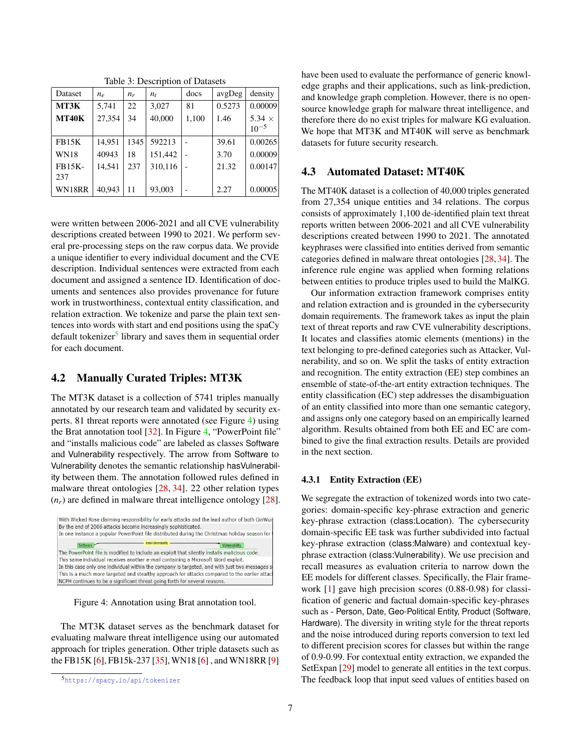| Dataset              | $n_e$  | $n_r$ | $n_{t}$ | docs  | avgDeg | density                    |
|----------------------|--------|-------|---------|-------|--------|----------------------------|
| MT3K                 | 5,741  | 22    | 3,027   | 81    | 0.5273 | 0.00009                    |
| <b>MT40K</b>         | 27,354 | 34    | 40,000  | 1,100 | 1.46   | $5.34 \times$<br>$10^{-5}$ |
| <b>FB15K</b>         | 14.951 | 1345  | 592213  |       | 39.61  | 0.00265                    |
| <b>WN18</b>          | 40943  | 18    | 151,442 |       | 3.70   | 0.00009                    |
| <b>FB15K-</b><br>237 | 14.541 | 237   | 310,116 |       | 21.32  | 0.00147                    |
| WN18RR               | 40.943 | 11    | 93,003  |       | 2.27   | 0.00005                    |

<span id="page-6-2"></span>Table 3: Description of Datasets

were written between 2006-2021 and all CVE vulnerability descriptions created between 1990 to 2021. We perform several pre-processing steps on the raw corpus data. We provide a unique identifier to every individual document and the CVE description. Individual sentences were extracted from each document and assigned a sentence ID. Identification of documents and sentences also provides provenance for future work in trustworthiness, contextual entity classification, and relation extraction. We tokenize and parse the plain text sentences into words with start and end positions using the spaCy default tokenizer<sup>[5](#page-6-0)</sup> library and saves them in sequential order for each document.

# 4.2 Manually Curated Triples: MT3K

The MT3K dataset is a collection of 5741 triples manually annotated by our research team and validated by security experts. 81 threat reports were annotated (see Figure [4\)](#page-6-1) using the Brat annotation tool [\[32\]](#page-12-11). In Figure [4,](#page-6-1) "PowerPoint file" and "installs malicious code" are labeled as classes Software and Vulnerability respectively. The arrow from Software to Vulnerability denotes the semantic relationship hasVulnerability between them. The annotation followed rules defined in malware threat ontologies [\[28,](#page-12-4) [34\]](#page-12-5). 22 other relation types  $(n_r)$  are defined in malware threat intelligence ontology [\[28\]](#page-12-4).



<span id="page-6-1"></span>Figure 4: Annotation using Brat annotation tool.

The MT3K dataset serves as the benchmark dataset for evaluating malware threat intelligence using our automated approach for triples generation. Other triple datasets such as the FB15K [\[6\]](#page-11-2), FB15k-237 [\[35\]](#page-12-9), WN18 [\[6\]](#page-11-2) , and WN18RR [\[9\]](#page-11-8)

have been used to evaluate the performance of generic knowledge graphs and their applications, such as link-prediction, and knowledge graph completion. However, there is no opensource knowledge graph for malware threat intelligence, and therefore there do no exist triples for malware KG evaluation. We hope that MT3K and MT40K will serve as benchmark datasets for future security research.

# 4.3 Automated Dataset: MT40K

The MT40K dataset is a collection of 40,000 triples generated from 27,354 unique entities and 34 relations. The corpus consists of approximately 1,100 de-identified plain text threat reports written between 2006-2021 and all CVE vulnerability descriptions created between 1990 to 2021. The annotated keyphrases were classified into entities derived from semantic categories defined in malware threat ontologies [\[28,](#page-12-4) [34\]](#page-12-5). The inference rule engine was applied when forming relations between entities to produce triples used to build the MalKG.

Our information extraction framework comprises entity and relation extraction and is grounded in the cybersecurity domain requirements. The framework takes as input the plain text of threat reports and raw CVE vulnerability descriptions. It locates and classifies atomic elements (mentions) in the text belonging to pre-defined categories such as Attacker, Vulnerability, and so on. We split the tasks of entity extraction and recognition. The entity extraction (EE) step combines an ensemble of state-of-the-art entity extraction techniques. The entity classification (EC) step addresses the disambiguation of an entity classified into more than one semantic category, and assigns only one category based on an empirically learned algorithm. Results obtained from both EE and EC are combined to give the final extraction results. Details are provided in the next section.

#### 4.3.1 Entity Extraction (EE)

We segregate the extraction of tokenized words into two categories: domain-specific key-phrase extraction and generic key-phrase extraction (class:Location). The cybersecurity domain-specific EE task was further subdivided into factual key-phrase extraction (class:Malware) and contextual keyphrase extraction (class:Vulnerability). We use precision and recall measures as evaluation criteria to narrow down the EE models for different classes. Specifically, the Flair framework [\[1\]](#page-11-7) gave high precision scores (0.88-0.98) for classification of generic and factual domain-specific key-phrases such as - Person, Date, Geo-Political Entity, Product (Software, Hardware). The diversity in writing style for the threat reports and the noise introduced during reports conversion to text led to different precision scores for classes but within the range of 0.9-0.99. For contextual entity extraction, we expanded the SetExpan [\[29\]](#page-12-7) model to generate all entities in the text corpus. The feedback loop that input seed values of entities based on

<span id="page-6-0"></span><sup>5</sup><https://spacy.io/api/tokenizer>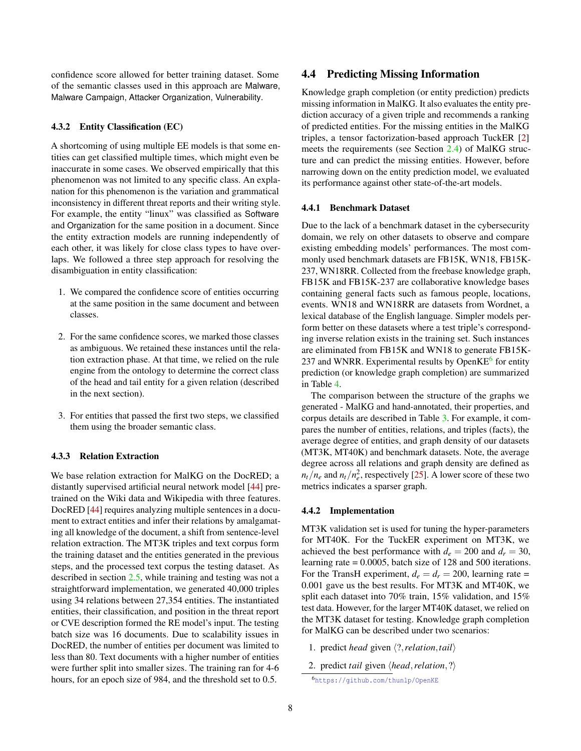confidence score allowed for better training dataset. Some of the semantic classes used in this approach are Malware, Malware Campaign, Attacker Organization, Vulnerability.

#### 4.3.2 Entity Classification (EC)

A shortcoming of using multiple EE models is that some entities can get classified multiple times, which might even be inaccurate in some cases. We observed empirically that this phenomenon was not limited to any specific class. An explanation for this phenomenon is the variation and grammatical inconsistency in different threat reports and their writing style. For example, the entity "linux" was classified as Software and Organization for the same position in a document. Since the entity extraction models are running independently of each other, it was likely for close class types to have overlaps. We followed a three step approach for resolving the disambiguation in entity classification:

- 1. We compared the confidence score of entities occurring at the same position in the same document and between classes.
- 2. For the same confidence scores, we marked those classes as ambiguous. We retained these instances until the relation extraction phase. At that time, we relied on the rule engine from the ontology to determine the correct class of the head and tail entity for a given relation (described in the next section).
- 3. For entities that passed the first two steps, we classified them using the broader semantic class.

#### 4.3.3 Relation Extraction

We base relation extraction for MalKG on the DocRED; a distantly supervised artificial neural network model [\[44\]](#page-13-6) pretrained on the Wiki data and Wikipedia with three features. DocRED [\[44\]](#page-13-6) requires analyzing multiple sentences in a document to extract entities and infer their relations by amalgamating all knowledge of the document, a shift from sentence-level relation extraction. The MT3K triples and text corpus form the training dataset and the entities generated in the previous steps, and the processed text corpus the testing dataset. As described in section [2.5,](#page-3-0) while training and testing was not a straightforward implementation, we generated 40,000 triples using 34 relations between 27,354 entities. The instantiated entities, their classification, and position in the threat report or CVE description formed the RE model's input. The testing batch size was 16 documents. Due to scalability issues in DocRED, the number of entities per document was limited to less than 80. Text documents with a higher number of entities were further split into smaller sizes. The training ran for 4-6 hours, for an epoch size of 984, and the threshold set to 0.5.

### 4.4 Predicting Missing Information

Knowledge graph completion (or entity prediction) predicts missing information in MalKG. It also evaluates the entity prediction accuracy of a given triple and recommends a ranking of predicted entities. For the missing entities in the MalKG triples, a tensor factorization-based approach TuckER [\[2\]](#page-11-3) meets the requirements (see Section [2.4\)](#page-3-1) of MalKG structure and can predict the missing entities. However, before narrowing down on the entity prediction model, we evaluated its performance against other state-of-the-art models.

#### 4.4.1 Benchmark Dataset

Due to the lack of a benchmark dataset in the cybersecurity domain, we rely on other datasets to observe and compare existing embedding models' performances. The most commonly used benchmark datasets are FB15K, WN18, FB15K-237, WN18RR. Collected from the freebase knowledge graph, FB15K and FB15K-237 are collaborative knowledge bases containing general facts such as famous people, locations, events. WN18 and WN18RR are datasets from Wordnet, a lexical database of the English language. Simpler models perform better on these datasets where a test triple's corresponding inverse relation exists in the training set. Such instances are eliminated from FB15K and WN18 to generate FB15K-237 and WNRR. Experimental results by OpenKE<sup>[6](#page-7-0)</sup> for entity prediction (or knowledge graph completion) are summarized in Table [4.](#page-9-0)

The comparison between the structure of the graphs we generated - MalKG and hand-annotated, their properties, and corpus details are described in Table [3.](#page-6-2) For example, it compares the number of entities, relations, and triples (facts), the average degree of entities, and graph density of our datasets (MT3K, MT40K) and benchmark datasets. Note, the average degree across all relations and graph density are defined as  $n_t/n_e$  and  $n_t/n_e^2$ , respectively [\[25\]](#page-12-12). A lower score of these two metrics indicates a sparser graph.

### 4.4.2 Implementation

MT3K validation set is used for tuning the hyper-parameters for MT40K. For the TuckER experiment on MT3K, we achieved the best performance with  $d_e = 200$  and  $d_r = 30$ , learning rate = 0.0005, batch size of 128 and 500 iterations. For the TransH experiment,  $d_e = d_r = 200$ , learning rate = 0.001 gave us the best results. For MT3K and MT40K, we split each dataset into 70% train, 15% validation, and 15% test data. However, for the larger MT40K dataset, we relied on the MT3K dataset for testing. Knowledge graph completion for MalKG can be described under two scenarios:

- 1. predict *head* given  $\langle ?$ *, relation, tail*
- 2. predict *tail* given  $\langle head, relation, ? \rangle$

<span id="page-7-0"></span><sup>6</sup><https://github.com/thunlp/OpenKE>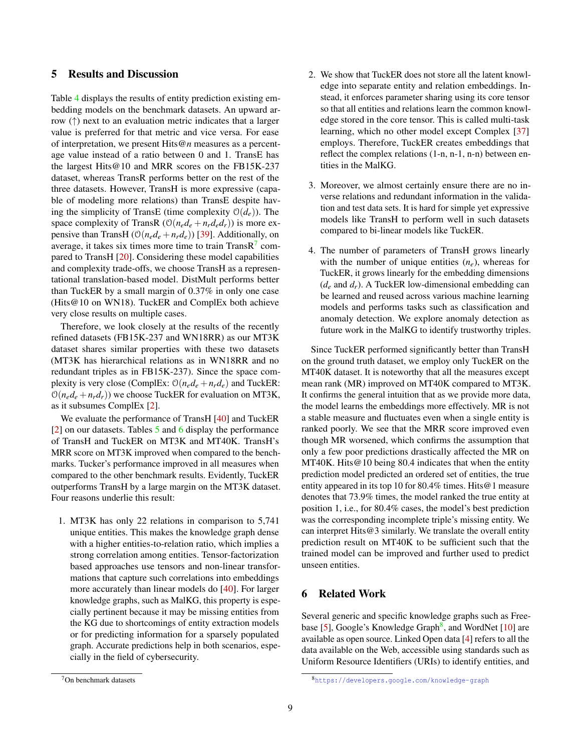# 5 Results and Discussion

Table [4](#page-9-0) displays the results of entity prediction existing embedding models on the benchmark datasets. An upward arrow  $(\uparrow)$  next to an evaluation metric indicates that a larger value is preferred for that metric and vice versa. For ease of interpretation, we present Hits@*n* measures as a percentage value instead of a ratio between 0 and 1. TransE has the largest Hits@10 and MRR scores on the FB15K-237 dataset, whereas TransR performs better on the rest of the three datasets. However, TransH is more expressive (capable of modeling more relations) than TransE despite having the simplicity of TransE (time complexity  $O(d_e)$ ). The space complexity of TransR ( $O(n_e d_e + n_r d_e d_r)$ ) is more expensive than TransH ( $O(n_e d_e + n_r d_e)$ ) [\[39\]](#page-13-4). Additionally, on average, it takes six times more time to train Trans $R<sup>7</sup>$  $R<sup>7</sup>$  $R<sup>7</sup>$  compared to TransH [\[20\]](#page-12-2). Considering these model capabilities and complexity trade-offs, we choose TransH as a representational translation-based model. DistMult performs better than TuckER by a small margin of 0.37% in only one case (Hits@10 on WN18). TuckER and ComplEx both achieve very close results on multiple cases.

Therefore, we look closely at the results of the recently refined datasets (FB15K-237 and WN18RR) as our MT3K dataset shares similar properties with these two datasets (MT3K has hierarchical relations as in WN18RR and no redundant triples as in FB15K-237). Since the space complexity is very close (ComplEx:  $O(n_e d_e + n_r d_e)$  and TuckER:  $O(n_e d_e + n_r d_r)$  we choose TuckER for evaluation on MT3K, as it subsumes ComplEx [\[2\]](#page-11-3).

We evaluate the performance of TransH  $[40]$  and TuckER [\[2\]](#page-11-3) on our datasets. Tables [5](#page-9-1) and [6](#page-9-2) display the performance of TransH and TuckER on MT3K and MT40K. TransH's MRR score on MT3K improved when compared to the benchmarks. Tucker's performance improved in all measures when compared to the other benchmark results. Evidently, TuckER outperforms TransH by a large margin on the MT3K dataset. Four reasons underlie this result:

1. MT3K has only 22 relations in comparison to 5,741 unique entities. This makes the knowledge graph dense with a higher entities-to-relation ratio, which implies a strong correlation among entities. Tensor-factorization based approaches use tensors and non-linear transformations that capture such correlations into embeddings more accurately than linear models do [\[40\]](#page-13-1). For larger knowledge graphs, such as MalKG, this property is especially pertinent because it may be missing entities from the KG due to shortcomings of entity extraction models or for predicting information for a sparsely populated graph. Accurate predictions help in both scenarios, especially in the field of cybersecurity.

- 2. We show that TuckER does not store all the latent knowledge into separate entity and relation embeddings. Instead, it enforces parameter sharing using its core tensor so that all entities and relations learn the common knowledge stored in the core tensor. This is called multi-task learning, which no other model except Complex [\[37\]](#page-13-2) employs. Therefore, TuckER creates embeddings that reflect the complex relations (1-n, n-1, n-n) between entities in the MalKG.
- 3. Moreover, we almost certainly ensure there are no inverse relations and redundant information in the validation and test data sets. It is hard for simple yet expressive models like TransH to perform well in such datasets compared to bi-linear models like TuckER.
- 4. The number of parameters of TransH grows linearly with the number of unique entities  $(n_e)$ , whereas for TuckER, it grows linearly for the embedding dimensions  $(d_e$  and  $d_r$ ). A TuckER low-dimensional embedding can be learned and reused across various machine learning models and performs tasks such as classification and anomaly detection. We explore anomaly detection as future work in the MalKG to identify trustworthy triples.

Since TuckER performed significantly better than TransH on the ground truth dataset, we employ only TuckER on the MT40K dataset. It is noteworthy that all the measures except mean rank (MR) improved on MT40K compared to MT3K. It confirms the general intuition that as we provide more data, the model learns the embeddings more effectively. MR is not a stable measure and fluctuates even when a single entity is ranked poorly. We see that the MRR score improved even though MR worsened, which confirms the assumption that only a few poor predictions drastically affected the MR on MT40K. Hits@10 being 80.4 indicates that when the entity prediction model predicted an ordered set of entities, the true entity appeared in its top 10 for 80.4% times. Hits@1 measure denotes that 73.9% times, the model ranked the true entity at position 1, i.e., for 80.4% cases, the model's best prediction was the corresponding incomplete triple's missing entity. We can interpret Hits@3 similarly. We translate the overall entity prediction result on MT40K to be sufficient such that the trained model can be improved and further used to predict unseen entities.

# 6 Related Work

Several generic and specific knowledge graphs such as Free-base [\[5\]](#page-11-4), Google's Knowledge Graph<sup>[8](#page-8-1)</sup>, and WordNet [\[10\]](#page-11-5) are available as open source. Linked Open data [\[4\]](#page-11-9) refers to all the data available on the Web, accessible using standards such as Uniform Resource Identifiers (URIs) to identify entities, and

<span id="page-8-0"></span><sup>7</sup>On benchmark datasets

<span id="page-8-1"></span><sup>8</sup><https://developers.google.com/knowledge-graph>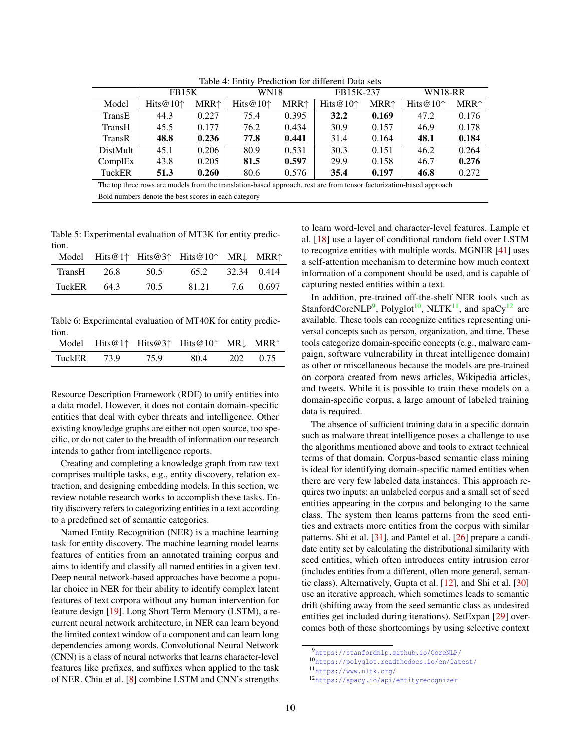|                                                                                                                      | <b>FB15K</b>       |        | <b>WN18</b>        |        | FB15K-237          |                         | <b>WN18-RR</b>     |        |
|----------------------------------------------------------------------------------------------------------------------|--------------------|--------|--------------------|--------|--------------------|-------------------------|--------------------|--------|
| Model                                                                                                                | Hits@10 $\uparrow$ | $MRR+$ | Hits@10 $\uparrow$ | $MRR+$ | Hits@10 $\uparrow$ | <b>MRR</b> <sup>+</sup> | Hits@10 $\uparrow$ | $MRR+$ |
| TransE                                                                                                               | 44.3               | 0.227  | 75.4               | 0.395  | 32.2               | 0.169                   | 47.2               | 0.176  |
| TransH                                                                                                               | 45.5               | 0.177  | 76.2               | 0.434  | 30.9               | 0.157                   | 46.9               | 0.178  |
| TransR                                                                                                               | 48.8               | 0.236  | 77.8               | 0.441  | 31.4               | 0.164                   | 48.1               | 0.184  |
| DistMult                                                                                                             | 45.1               | 0.206  | 80.9               | 0.531  | 30.3               | 0.151                   | 46.2               | 0.264  |
| ComplEx                                                                                                              | 43.8               | 0.205  | 81.5               | 0.597  | 29.9               | 0.158                   | 46.7               | 0.276  |
| TuckER                                                                                                               | 51.3               | 0.260  | 80.6               | 0.576  | 35.4               | 0.197                   | 46.8               | 0.272  |
| The top three rows are models from the translation-based approach, rest are from tensor factorization-based approach |                    |        |                    |        |                    |                         |                    |        |

<span id="page-9-0"></span>Table 4: Entity Prediction for different Data sets

Bold numbers denote the best scores in each category

<span id="page-9-1"></span>Table 5: Experimental evaluation of MT3K for entity prediction.

|        |      |      | Model Hits@1↑ Hits@3↑ Hits@10↑ MR↓ MRR↑ |             |           |
|--------|------|------|-----------------------------------------|-------------|-----------|
| TransH | 26.8 | 50.5 | 65.2                                    | 32.34 0.414 |           |
| TuckER | 64.3 | 70.5 | 81.21                                   |             | 7.6 0.697 |

<span id="page-9-2"></span>Table 6: Experimental evaluation of MT40K for entity prediction.

|  | Model Hits@1↑ Hits@3↑ Hits@10↑ MR↓ MRR↑ |  |
|--|-----------------------------------------|--|
|  | TuckER 73.9 75.9 80.4 202 0.75          |  |

Resource Description Framework (RDF) to unify entities into a data model. However, it does not contain domain-specific entities that deal with cyber threats and intelligence. Other existing knowledge graphs are either not open source, too specific, or do not cater to the breadth of information our research intends to gather from intelligence reports.

Creating and completing a knowledge graph from raw text comprises multiple tasks, e.g., entity discovery, relation extraction, and designing embedding models. In this section, we review notable research works to accomplish these tasks. Entity discovery refers to categorizing entities in a text according to a predefined set of semantic categories.

Named Entity Recognition (NER) is a machine learning task for entity discovery. The machine learning model learns features of entities from an annotated training corpus and aims to identify and classify all named entities in a given text. Deep neural network-based approaches have become a popular choice in NER for their ability to identify complex latent features of text corpora without any human intervention for feature design [\[19\]](#page-12-3). Long Short Term Memory (LSTM), a recurrent neural network architecture, in NER can learn beyond the limited context window of a component and can learn long dependencies among words. Convolutional Neural Network (CNN) is a class of neural networks that learns character-level features like prefixes, and suffixes when applied to the task of NER. Chiu et al. [\[8\]](#page-11-10) combine LSTM and CNN's strengths

to learn word-level and character-level features. Lample et al. [\[18\]](#page-12-13) use a layer of conditional random field over LSTM to recognize entities with multiple words. MGNER [\[41\]](#page-13-7) uses a self-attention mechanism to determine how much context information of a component should be used, and is capable of capturing nested entities within a text.

In addition, pre-trained off-the-shelf NER tools such as StanfordCoreNLP<sup>[9](#page-9-3)</sup>, Polyglot<sup>[10](#page-9-4)</sup>, NLTK<sup>[11](#page-9-5)</sup>, and spaCy<sup>[12](#page-9-6)</sup> are available. These tools can recognize entities representing universal concepts such as person, organization, and time. These tools categorize domain-specific concepts (e.g., malware campaign, software vulnerability in threat intelligence domain) as other or miscellaneous because the models are pre-trained on corpora created from news articles, Wikipedia articles, and tweets. While it is possible to train these models on a domain-specific corpus, a large amount of labeled training data is required.

The absence of sufficient training data in a specific domain such as malware threat intelligence poses a challenge to use the algorithms mentioned above and tools to extract technical terms of that domain. Corpus-based semantic class mining is ideal for identifying domain-specific named entities when there are very few labeled data instances. This approach requires two inputs: an unlabeled corpus and a small set of seed entities appearing in the corpus and belonging to the same class. The system then learns patterns from the seed entities and extracts more entities from the corpus with similar patterns. Shi et al. [\[31\]](#page-12-14), and Pantel et al. [\[26\]](#page-12-15) prepare a candidate entity set by calculating the distributional similarity with seed entities, which often introduces entity intrusion error (includes entities from a different, often more general, semantic class). Alternatively, Gupta et al. [\[12\]](#page-11-11), and Shi et al. [\[30\]](#page-12-16) use an iterative approach, which sometimes leads to semantic drift (shifting away from the seed semantic class as undesired entities get included during iterations). SetExpan [\[29\]](#page-12-7) overcomes both of these shortcomings by using selective context

<span id="page-9-3"></span><sup>9</sup><https://stanfordnlp.github.io/CoreNLP/>

<span id="page-9-4"></span><sup>10</sup><https://polyglot.readthedocs.io/en/latest/>

<span id="page-9-5"></span><sup>11</sup><https://www.nltk.org/>

<span id="page-9-6"></span><sup>12</sup><https://spacy.io/api/entityrecognizer>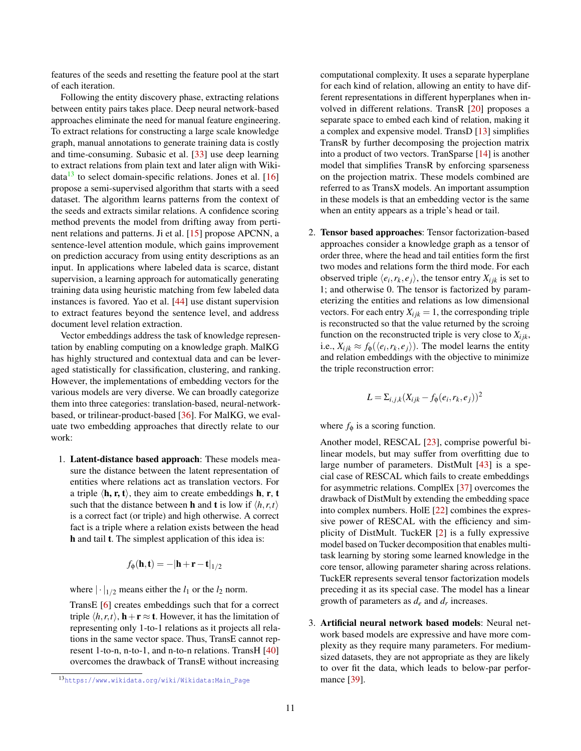features of the seeds and resetting the feature pool at the start of each iteration.

Following the entity discovery phase, extracting relations between entity pairs takes place. Deep neural network-based approaches eliminate the need for manual feature engineering. To extract relations for constructing a large scale knowledge graph, manual annotations to generate training data is costly and time-consuming. Subasic et al. [\[33\]](#page-12-17) use deep learning to extract relations from plain text and later align with Wikidata $^{13}$  $^{13}$  $^{13}$  to select domain-specific relations. Jones et al. [\[16\]](#page-12-18) propose a semi-supervised algorithm that starts with a seed dataset. The algorithm learns patterns from the context of the seeds and extracts similar relations. A confidence scoring method prevents the model from drifting away from pertinent relations and patterns. Ji et al. [\[15\]](#page-12-19) propose APCNN, a sentence-level attention module, which gains improvement on prediction accuracy from using entity descriptions as an input. In applications where labeled data is scarce, distant supervision, a learning approach for automatically generating training data using heuristic matching from few labeled data instances is favored. Yao et al. [\[44\]](#page-13-6) use distant supervision to extract features beyond the sentence level, and address document level relation extraction.

Vector embeddings address the task of knowledge representation by enabling computing on a knowledge graph. MalKG has highly structured and contextual data and can be leveraged statistically for classification, clustering, and ranking. However, the implementations of embedding vectors for the various models are very diverse. We can broadly categorize them into three categories: translation-based, neural-networkbased, or trilinear-product-based [\[36\]](#page-12-6). For MalKG, we evaluate two embedding approaches that directly relate to our work:

1. Latent-distance based approach: These models measure the distance between the latent representation of entities where relations act as translation vectors. For a triple  $\langle \mathbf{h}, \mathbf{r}, \mathbf{t} \rangle$ , they aim to create embeddings **h**, **r**, **t** such that the distance between **h** and **t** is low if  $\langle h, r, t \rangle$ is a correct fact (or triple) and high otherwise. A correct fact is a triple where a relation exists between the head h and tail t. The simplest application of this idea is:

$$
f_{\phi}(\mathbf{h}, \mathbf{t}) = -|\mathbf{h} + \mathbf{r} - \mathbf{t}|_{1/2}
$$

where  $|\cdot|_{1/2}$  means either the  $l_1$  or the  $l_2$  norm.

TransE [\[6\]](#page-11-2) creates embeddings such that for a correct triple  $\langle h, r, t \rangle$ , **h** + **r**  $\approx$  **t**. However, it has the limitation of representing only 1-to-1 relations as it projects all relations in the same vector space. Thus, TransE cannot represent 1-to-n, n-to-1, and n-to-n relations. TransH [\[40\]](#page-13-1) overcomes the drawback of TransE without increasing

computational complexity. It uses a separate hyperplane for each kind of relation, allowing an entity to have different representations in different hyperplanes when involved in different relations. TransR [\[20\]](#page-12-2) proposes a separate space to embed each kind of relation, making it a complex and expensive model. TransD [\[13\]](#page-11-12) simplifies TransR by further decomposing the projection matrix into a product of two vectors. TranSparse [\[14\]](#page-12-20) is another model that simplifies TransR by enforcing sparseness on the projection matrix. These models combined are referred to as TransX models. An important assumption in these models is that an embedding vector is the same when an entity appears as a triple's head or tail.

2. Tensor based approaches: Tensor factorization-based approaches consider a knowledge graph as a tensor of order three, where the head and tail entities form the first two modes and relations form the third mode. For each observed triple  $\langle e_i, r_k, e_j \rangle$ , the tensor entry  $X_{ijk}$  is set to 1; and otherwise 0. The tensor is factorized by parameterizing the entities and relations as low dimensional vectors. For each entry  $X_{ijk} = 1$ , the corresponding triple is reconstructed so that the value returned by the scroing function on the reconstructed triple is very close to  $X_{ijk}$ , i.e.,  $X_{ijk} \approx f_{\phi}(\langle e_i, r_k, e_j \rangle)$ . The model learns the entity and relation embeddings with the objective to minimize the triple reconstruction error:

$$
L = \sum_{i,j,k} (X_{ijk} - f_{\phi}(e_i, r_k, e_j))^2
$$

where  $f_{\phi}$  is a scoring function.

Another model, RESCAL [\[23\]](#page-12-21), comprise powerful bilinear models, but may suffer from overfitting due to large number of parameters. DistMult [\[43\]](#page-13-3) is a special case of RESCAL which fails to create embeddings for asymmetric relations. ComplEx [\[37\]](#page-13-2) overcomes the drawback of DistMult by extending the embedding space into complex numbers. HolE [\[22\]](#page-12-22) combines the expressive power of RESCAL with the efficiency and simplicity of DistMult. TuckER [\[2\]](#page-11-3) is a fully expressive model based on Tucker decomposition that enables multitask learning by storing some learned knowledge in the core tensor, allowing parameter sharing across relations. TuckER represents several tensor factorization models preceding it as its special case. The model has a linear growth of parameters as *d<sup>e</sup>* and *d<sup>r</sup>* increases.

3. Artificial neural network based models: Neural network based models are expressive and have more complexity as they require many parameters. For mediumsized datasets, they are not appropriate as they are likely to over fit the data, which leads to below-par performance [\[39\]](#page-13-4).

<span id="page-10-0"></span><sup>13</sup>[https://www.wikidata.org/wiki/Wikidata:Main\\_Page](https://www.wikidata.org/wiki/Wikidata:Main_Page)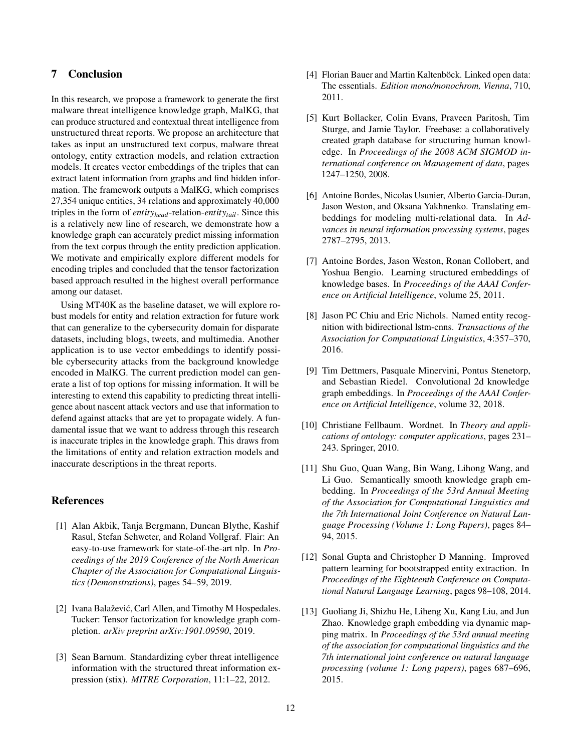# 7 Conclusion

In this research, we propose a framework to generate the first malware threat intelligence knowledge graph, MalKG, that can produce structured and contextual threat intelligence from unstructured threat reports. We propose an architecture that takes as input an unstructured text corpus, malware threat ontology, entity extraction models, and relation extraction models. It creates vector embeddings of the triples that can extract latent information from graphs and find hidden information. The framework outputs a MalKG, which comprises 27,354 unique entities, 34 relations and approximately 40,000 triples in the form of *entityhead*-relation-*entitytail*. Since this is a relatively new line of research, we demonstrate how a knowledge graph can accurately predict missing information from the text corpus through the entity prediction application. We motivate and empirically explore different models for encoding triples and concluded that the tensor factorization based approach resulted in the highest overall performance among our dataset.

Using MT40K as the baseline dataset, we will explore robust models for entity and relation extraction for future work that can generalize to the cybersecurity domain for disparate datasets, including blogs, tweets, and multimedia. Another application is to use vector embeddings to identify possible cybersecurity attacks from the background knowledge encoded in MalKG. The current prediction model can generate a list of top options for missing information. It will be interesting to extend this capability to predicting threat intelligence about nascent attack vectors and use that information to defend against attacks that are yet to propagate widely. A fundamental issue that we want to address through this research is inaccurate triples in the knowledge graph. This draws from the limitations of entity and relation extraction models and inaccurate descriptions in the threat reports.

# References

- <span id="page-11-7"></span>[1] Alan Akbik, Tanja Bergmann, Duncan Blythe, Kashif Rasul, Stefan Schweter, and Roland Vollgraf. Flair: An easy-to-use framework for state-of-the-art nlp. In *Proceedings of the 2019 Conference of the North American Chapter of the Association for Computational Linguistics (Demonstrations)*, pages 54–59, 2019.
- <span id="page-11-3"></span>[2] Ivana Balažević, Carl Allen, and Timothy M Hospedales. Tucker: Tensor factorization for knowledge graph completion. *arXiv preprint arXiv:1901.09590*, 2019.
- <span id="page-11-0"></span>[3] Sean Barnum. Standardizing cyber threat intelligence information with the structured threat information expression (stix). *MITRE Corporation*, 11:1–22, 2012.
- <span id="page-11-9"></span>[4] Florian Bauer and Martin Kaltenböck. Linked open data: The essentials. *Edition mono/monochrom, Vienna*, 710, 2011.
- <span id="page-11-4"></span>[5] Kurt Bollacker, Colin Evans, Praveen Paritosh, Tim Sturge, and Jamie Taylor. Freebase: a collaboratively created graph database for structuring human knowledge. In *Proceedings of the 2008 ACM SIGMOD international conference on Management of data*, pages 1247–1250, 2008.
- <span id="page-11-2"></span>[6] Antoine Bordes, Nicolas Usunier, Alberto Garcia-Duran, Jason Weston, and Oksana Yakhnenko. Translating embeddings for modeling multi-relational data. In *Advances in neural information processing systems*, pages 2787–2795, 2013.
- <span id="page-11-1"></span>[7] Antoine Bordes, Jason Weston, Ronan Collobert, and Yoshua Bengio. Learning structured embeddings of knowledge bases. In *Proceedings of the AAAI Conference on Artificial Intelligence*, volume 25, 2011.
- <span id="page-11-10"></span>[8] Jason PC Chiu and Eric Nichols. Named entity recognition with bidirectional lstm-cnns. *Transactions of the Association for Computational Linguistics*, 4:357–370, 2016.
- <span id="page-11-8"></span>[9] Tim Dettmers, Pasquale Minervini, Pontus Stenetorp, and Sebastian Riedel. Convolutional 2d knowledge graph embeddings. In *Proceedings of the AAAI Conference on Artificial Intelligence*, volume 32, 2018.
- <span id="page-11-5"></span>[10] Christiane Fellbaum. Wordnet. In *Theory and applications of ontology: computer applications*, pages 231– 243. Springer, 2010.
- <span id="page-11-6"></span>[11] Shu Guo, Quan Wang, Bin Wang, Lihong Wang, and Li Guo. Semantically smooth knowledge graph embedding. In *Proceedings of the 53rd Annual Meeting of the Association for Computational Linguistics and the 7th International Joint Conference on Natural Language Processing (Volume 1: Long Papers)*, pages 84– 94, 2015.
- <span id="page-11-11"></span>[12] Sonal Gupta and Christopher D Manning. Improved pattern learning for bootstrapped entity extraction. In *Proceedings of the Eighteenth Conference on Computational Natural Language Learning*, pages 98–108, 2014.
- <span id="page-11-12"></span>[13] Guoliang Ji, Shizhu He, Liheng Xu, Kang Liu, and Jun Zhao. Knowledge graph embedding via dynamic mapping matrix. In *Proceedings of the 53rd annual meeting of the association for computational linguistics and the 7th international joint conference on natural language processing (volume 1: Long papers)*, pages 687–696, 2015.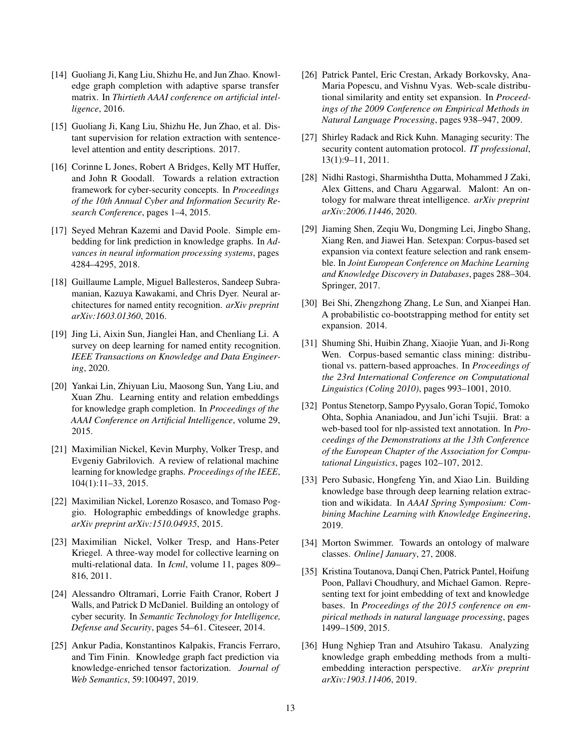- <span id="page-12-20"></span>[14] Guoliang Ji, Kang Liu, Shizhu He, and Jun Zhao. Knowledge graph completion with adaptive sparse transfer matrix. In *Thirtieth AAAI conference on artificial intelligence*, 2016.
- <span id="page-12-19"></span>[15] Guoliang Ji, Kang Liu, Shizhu He, Jun Zhao, et al. Distant supervision for relation extraction with sentencelevel attention and entity descriptions. 2017.
- <span id="page-12-18"></span>[16] Corinne L Jones, Robert A Bridges, Kelly MT Huffer, and John R Goodall. Towards a relation extraction framework for cyber-security concepts. In *Proceedings of the 10th Annual Cyber and Information Security Research Conference*, pages 1–4, 2015.
- <span id="page-12-10"></span>[17] Seyed Mehran Kazemi and David Poole. Simple embedding for link prediction in knowledge graphs. In *Advances in neural information processing systems*, pages 4284–4295, 2018.
- <span id="page-12-13"></span>[18] Guillaume Lample, Miguel Ballesteros, Sandeep Subramanian, Kazuya Kawakami, and Chris Dyer. Neural architectures for named entity recognition. *arXiv preprint arXiv:1603.01360*, 2016.
- <span id="page-12-3"></span>[19] Jing Li, Aixin Sun, Jianglei Han, and Chenliang Li. A survey on deep learning for named entity recognition. *IEEE Transactions on Knowledge and Data Engineering*, 2020.
- <span id="page-12-2"></span>[20] Yankai Lin, Zhiyuan Liu, Maosong Sun, Yang Liu, and Xuan Zhu. Learning entity and relation embeddings for knowledge graph completion. In *Proceedings of the AAAI Conference on Artificial Intelligence*, volume 29, 2015.
- <span id="page-12-1"></span>[21] Maximilian Nickel, Kevin Murphy, Volker Tresp, and Evgeniy Gabrilovich. A review of relational machine learning for knowledge graphs. *Proceedings of the IEEE*, 104(1):11–33, 2015.
- <span id="page-12-22"></span>[22] Maximilian Nickel, Lorenzo Rosasco, and Tomaso Poggio. Holographic embeddings of knowledge graphs. *arXiv preprint arXiv:1510.04935*, 2015.
- <span id="page-12-21"></span>[23] Maximilian Nickel, Volker Tresp, and Hans-Peter Kriegel. A three-way model for collective learning on multi-relational data. In *Icml*, volume 11, pages 809– 816, 2011.
- <span id="page-12-8"></span>[24] Alessandro Oltramari, Lorrie Faith Cranor, Robert J Walls, and Patrick D McDaniel. Building an ontology of cyber security. In *Semantic Technology for Intelligence, Defense and Security*, pages 54–61. Citeseer, 2014.
- <span id="page-12-12"></span>[25] Ankur Padia, Konstantinos Kalpakis, Francis Ferraro, and Tim Finin. Knowledge graph fact prediction via knowledge-enriched tensor factorization. *Journal of Web Semantics*, 59:100497, 2019.
- <span id="page-12-15"></span>[26] Patrick Pantel, Eric Crestan, Arkady Borkovsky, Ana-Maria Popescu, and Vishnu Vyas. Web-scale distributional similarity and entity set expansion. In *Proceedings of the 2009 Conference on Empirical Methods in Natural Language Processing*, pages 938–947, 2009.
- <span id="page-12-0"></span>[27] Shirley Radack and Rick Kuhn. Managing security: The security content automation protocol. *IT professional*, 13(1):9–11, 2011.
- <span id="page-12-4"></span>[28] Nidhi Rastogi, Sharmishtha Dutta, Mohammed J Zaki, Alex Gittens, and Charu Aggarwal. Malont: An ontology for malware threat intelligence. *arXiv preprint arXiv:2006.11446*, 2020.
- <span id="page-12-7"></span>[29] Jiaming Shen, Zeqiu Wu, Dongming Lei, Jingbo Shang, Xiang Ren, and Jiawei Han. Setexpan: Corpus-based set expansion via context feature selection and rank ensemble. In *Joint European Conference on Machine Learning and Knowledge Discovery in Databases*, pages 288–304. Springer, 2017.
- <span id="page-12-16"></span>[30] Bei Shi, Zhengzhong Zhang, Le Sun, and Xianpei Han. A probabilistic co-bootstrapping method for entity set expansion. 2014.
- <span id="page-12-14"></span>[31] Shuming Shi, Huibin Zhang, Xiaojie Yuan, and Ji-Rong Wen. Corpus-based semantic class mining: distributional vs. pattern-based approaches. In *Proceedings of the 23rd International Conference on Computational Linguistics (Coling 2010)*, pages 993–1001, 2010.
- <span id="page-12-11"></span>[32] Pontus Stenetorp, Sampo Pyysalo, Goran Topic, Tomoko ´ Ohta, Sophia Ananiadou, and Jun'ichi Tsujii. Brat: a web-based tool for nlp-assisted text annotation. In *Proceedings of the Demonstrations at the 13th Conference of the European Chapter of the Association for Computational Linguistics*, pages 102–107, 2012.
- <span id="page-12-17"></span>[33] Pero Subasic, Hongfeng Yin, and Xiao Lin. Building knowledge base through deep learning relation extraction and wikidata. In *AAAI Spring Symposium: Combining Machine Learning with Knowledge Engineering*, 2019.
- <span id="page-12-5"></span>[34] Morton Swimmer. Towards an ontology of malware classes. *Online] January*, 27, 2008.
- <span id="page-12-9"></span>[35] Kristina Toutanova, Danqi Chen, Patrick Pantel, Hoifung Poon, Pallavi Choudhury, and Michael Gamon. Representing text for joint embedding of text and knowledge bases. In *Proceedings of the 2015 conference on empirical methods in natural language processing*, pages 1499–1509, 2015.
- <span id="page-12-6"></span>[36] Hung Nghiep Tran and Atsuhiro Takasu. Analyzing knowledge graph embedding methods from a multiembedding interaction perspective. *arXiv preprint arXiv:1903.11406*, 2019.